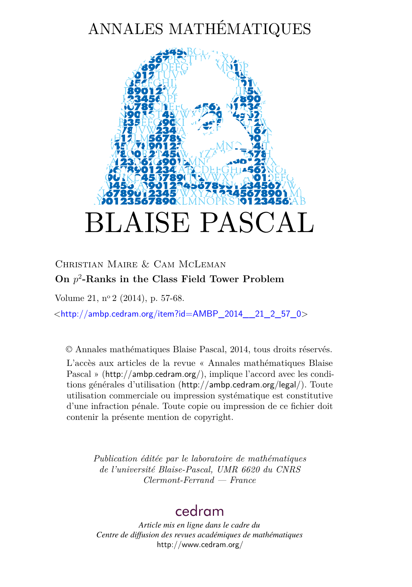# ANNALES MATHÉMATIQUES



# Christian Maire & Cam McLeman **On** *p* 2 **-Ranks in the Class Field Tower Problem**

Volume 21, n<sup>o</sup> 2 (2014), p. 57-68.

 $\lt$ [http://ambp.cedram.org/item?id=AMBP\\_2014\\_\\_21\\_2\\_57\\_0](http://ambp.cedram.org/item?id=AMBP_2014__21_2_57_0)>

© Annales mathématiques Blaise Pascal, 2014, tous droits réservés.

L'accès aux articles de la revue « Annales mathématiques Blaise Pascal » (<http://ambp.cedram.org/>), implique l'accord avec les conditions générales d'utilisation (<http://ambp.cedram.org/legal/>). Toute utilisation commerciale ou impression systématique est constitutive d'une infraction pénale. Toute copie ou impression de ce fichier doit contenir la présente mention de copyright.

*Publication éditée par le laboratoire de mathématiques de l'université Blaise-Pascal, UMR 6620 du CNRS Clermont-Ferrand — France*

# [cedram](http://www.cedram.org/)

*Article mis en ligne dans le cadre du Centre de diffusion des revues académiques de mathématiques* <http://www.cedram.org/>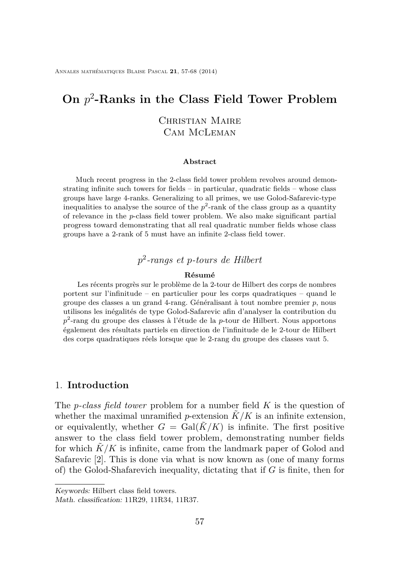# **On** *p* 2 **-Ranks in the Class Field Tower Problem**

### Christian Maire Cam McLeman

#### **Abstract**

Much recent progress in the 2-class field tower problem revolves around demonstrating infinite such towers for fields – in particular, quadratic fields – whose class groups have large 4-ranks. Generalizing to all primes, we use Golod-Safarevic-type inequalities to analyse the source of the  $p^2$ -rank of the class group as a quantity of relevance in the *p*-class field tower problem. We also make significant partial progress toward demonstrating that all real quadratic number fields whose class groups have a 2-rank of 5 must have an infinite 2-class field tower.

# *p* 2 *-rangs et p-tours de Hilbert*

#### **Résumé**

Les récents progrès sur le problème de la 2-tour de Hilbert des corps de nombres portent sur l'infinitude – en particulier pour les corps quadratiques – quand le groupe des classes a un grand 4-rang. Généralisant à tout nombre premier *p*, nous utilisons les inégalités de type Golod-Safarevic afin d'analyser la contribution du *p* 2 -rang du groupe des classes à l'étude de la *p*-tour de Hilbert. Nous apportons également des résultats partiels en direction de l'infinitude de le 2-tour de Hilbert des corps quadratiques réels lorsque que le 2-rang du groupe des classes vaut 5.

#### 1. **Introduction**

The *p-class field tower* problem for a number field *K* is the question of whether the maximal unramified *p*-extension  $\tilde{K}/K$  is an infinite extension, or equivalently, whether  $G = \text{Gal}(\tilde{K}/K)$  is infinite. The first positive answer to the class field tower problem, demonstrating number fields for which  $K/K$  is infinite, came from the landmark paper of Golod and Safarevic [\[2\]](#page-12-0). This is done via what is now known as (one of many forms of) the Golod-Shafarevich inequality, dictating that if *G* is finite, then for

Keywords: Hilbert class field towers.

Math. classification: 11R29, 11R34, 11R37.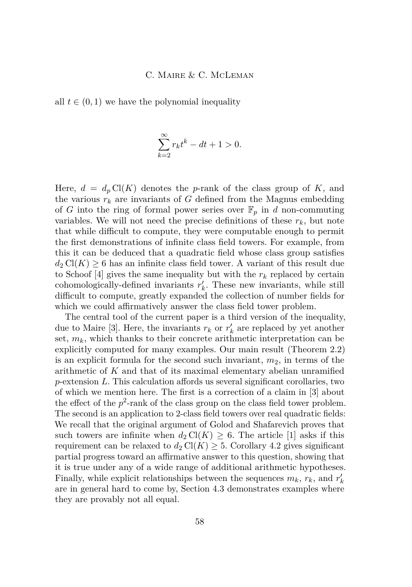all  $t \in (0, 1)$  we have the polynomial inequality

$$
\sum_{k=2}^{\infty} r_k t^k - dt + 1 > 0.
$$

Here,  $d = d_p Cl(K)$  denotes the *p*-rank of the class group of K, and the various  $r_k$  are invariants of  $G$  defined from the Magnus embedding of *G* into the ring of formal power series over  $\mathbb{F}_p$  in *d* non-commuting variables. We will not need the precise definitions of these  $r_k$ , but note that while difficult to compute, they were computable enough to permit the first demonstrations of infinite class field towers. For example, from this it can be deduced that a quadratic field whose class group satisfies  $d_2 \text{Cl}(K) \geq 6$  has an infinite class field tower. A variant of this result due to Schoof [\[4\]](#page-12-0) gives the same inequality but with the  $r_k$  replaced by certain cohomologically-defined invariants  $r'_{k}$ . These new invariants, while still difficult to compute, greatly expanded the collection of number fields for which we could affirmatively answer the class field tower problem.

The central tool of the current paper is a third version of the inequality, due to Maire [\[3\]](#page-12-0). Here, the invariants  $r_k$  or  $r'_k$  are replaced by yet another set,  $m_k$ , which thanks to their concrete arithmetic interpretation can be explicitly computed for many examples. Our main result (Theorem [2.2\)](#page-4-0) is an explicit formula for the second such invariant, *m*2, in terms of the arithmetic of *K* and that of its maximal elementary abelian unramified *p*-extension *L*. This calculation affords us several significant corollaries, two of which we mention here. The first is a correction of a claim in [\[3\]](#page-12-0) about the effect of the  $p^2$ -rank of the class group on the class field tower problem. The second is an application to 2-class field towers over real quadratic fields: We recall that the original argument of Golod and Shafarevich proves that such towers are infinite when  $d_2 \text{Cl}(K) \geq 6$ . The article [\[1\]](#page-12-0) asks if this requirement can be relaxed to  $d_2 \text{Cl}(K) \geq 5$ . Corollary [4.2](#page-11-0) gives significant partial progress toward an affirmative answer to this question, showing that it is true under any of a wide range of additional arithmetic hypotheses. Finally, while explicit relationships between the sequences  $m_k$ ,  $r_k$ , and  $r'_k$ are in general hard to come by, Section [4.3](#page-11-0) demonstrates examples where they are provably not all equal.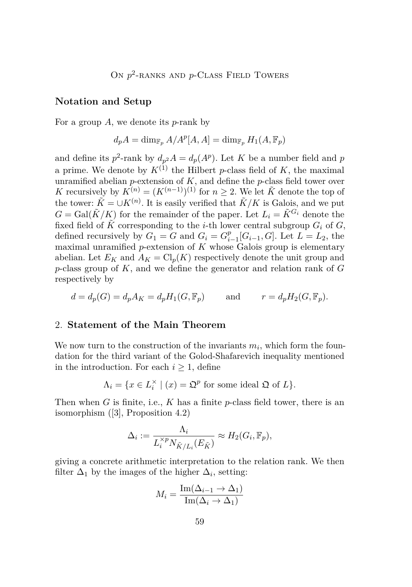#### **Notation and Setup**

For a group *A*, we denote its *p*-rank by

$$
d_p A = \dim_{\mathbb{F}_p} A/A^p[A, A] = \dim_{\mathbb{F}_p} H_1(A, \mathbb{F}_p)
$$

and define its  $p^2$ -rank by  $d_{p^2}A = d_p(A^p)$ . Let *K* be a number field and *p* a prime. We denote by  $K^{(1)}$  the Hilbert *p*-class field of *K*, the maximal unramified abelian *p*-extension of *K*, and define the *p*-class field tower over *K* recursively by  $K^{(n)} = (K^{(n-1)})^{(1)}$  for  $n \geq 2$ . We let  $\tilde{K}$  denote the top of the tower:  $\tilde{K} = \cup K^{(n)}$ . It is easily verified that  $\tilde{K}/K$  is Galois, and we put  $G = \text{Gal}(\tilde{K}/K)$  for the remainder of the paper. Let  $L_i = \tilde{K}^{G_i}$  denote the fixed field of  $\tilde{K}$  corresponding to the *i*-th lower central subgroup  $G_i$  of  $G$ , defined recursively by  $G_1 = G$  and  $G_i = G_i^p$  $_{i-1}^p[G_{i-1}, G]$ . Let *L* = *L*<sub>2</sub>, the maximal unramified *p*-extension of *K* whose Galois group is elementary abelian. Let  $E_K$  and  $A_K = Cl_p(K)$  respectively denote the unit group and *p*-class group of *K*, and we define the generator and relation rank of *G* respectively by

$$
d = d_p(G) = d_p A_K = d_p H_1(G, \mathbb{F}_p) \quad \text{and} \quad r = d_p H_2(G, \mathbb{F}_p).
$$

#### 2. **Statement of the Main Theorem**

We now turn to the construction of the invariants  $m_i$ , which form the foundation for the third variant of the Golod-Shafarevich inequality mentioned in the introduction. For each  $i \geq 1$ , define

$$
\Lambda_i = \{ x \in L_i^{\times} \mid (x) = \mathfrak{Q}^p \text{ for some ideal } \mathfrak{Q} \text{ of } L \}.
$$

Then when *G* is finite, i.e., *K* has a finite *p*-class field tower, there is an isomorphism ([\[3\]](#page-12-0), Proposition 4.2)

$$
\Delta_i := \frac{\Lambda_i}{L_i^{\times p} N_{\tilde{K}/L_i}(E_{\tilde{K}})} \approx H_2(G_i, \mathbb{F}_p),
$$

giving a concrete arithmetic interpretation to the relation rank. We then filter  $\Delta_1$  by the images of the higher  $\Delta_i$ , setting:

$$
M_i = \frac{\operatorname{Im}(\Delta_{i-1} \to \Delta_1)}{\operatorname{Im}(\Delta_i \to \Delta_1)}
$$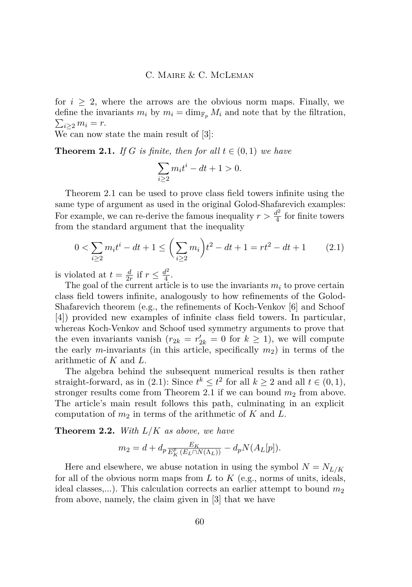<span id="page-4-0"></span>for  $i \geq 2$ , where the arrows are the obvious norm maps. Finally, we define the invariants  $m_i$  by  $m_i = \dim_{\mathbb{F}_p} M_i$  and note that by the filtration,  $\sum_{i\geq 2} m_i = r.$ 

We can now state the main result of [\[3\]](#page-12-0):

**Theorem 2.1.** *If G is finite, then for all*  $t \in (0,1)$  *we have* 

$$
\sum_{i\geq 2}m_it^i - dt + 1 > 0.
$$

Theorem 2.1 can be used to prove class field towers infinite using the same type of argument as used in the original Golod-Shafarevich examples: For example, we can re-derive the famous inequality  $r > \frac{d^2}{4}$  $\frac{d^2}{4}$  for finite towers from the standard argument that the inequality

$$
0 < \sum_{i \ge 2} m_i t^i - dt + 1 \le \left( \sum_{i \ge 2} m_i \right) t^2 - dt + 1 = rt^2 - dt + 1 \tag{2.1}
$$

is violated at  $t = \frac{d}{2i}$  $\frac{d}{2r}$  if  $r \leq \frac{d^2}{4}$  $rac{t^2}{4}$ .

The goal of the current article is to use the invariants  $m<sub>i</sub>$  to prove certain class field towers infinite, analogously to how refinements of the Golod-Shafarevich theorem (e.g., the refinements of Koch-Venkov [\[6\]](#page-12-0) and Schoof [\[4\]](#page-12-0)) provided new examples of infinite class field towers. In particular, whereas Koch-Venkov and Schoof used symmetry arguments to prove that the even invariants vanish  $(r_{2k} = r'_{2k} = 0$  for  $k \ge 1$ , we will compute the early *m*-invariants (in this article, specifically  $m_2$ ) in terms of the arithmetic of *K* and *L*.

The algebra behind the subsequent numerical results is then rather straight-forward, as in (2.1): Since  $t^k \leq t^2$  for all  $k \geq 2$  and all  $t \in (0,1)$ , stronger results come from Theorem 2.1 if we can bound  $m_2$  from above. The article's main result follows this path, culminating in an explicit computation of  $m_2$  in terms of the arithmetic of  $K$  and  $L$ .

**Theorem 2.2.** *With L/K as above, we have*

$$
m_2 = d + d_p \frac{E_K}{E_K^p(E_L \cap N(\Lambda_L))} - d_p N(A_L[p]).
$$

Here and elsewhere, we abuse notation in using the symbol  $N = N_{L/K}$ for all of the obvious norm maps from *L* to *K* (e.g., norms of units, ideals, ideal classes,...). This calculation corrects an earlier attempt to bound  $m_2$ from above, namely, the claim given in [\[3\]](#page-12-0) that we have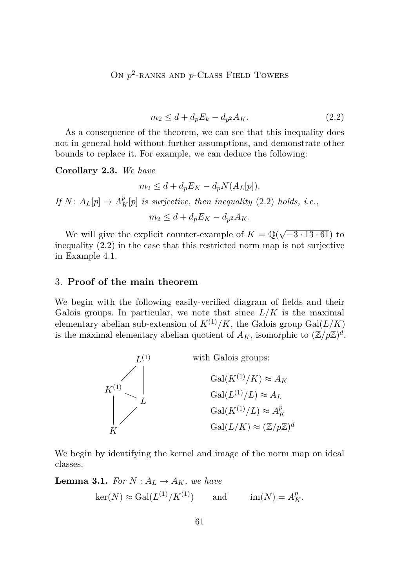# <span id="page-5-0"></span>ON  $p^2$ -RANKS AND  $p$ -CLASS FIELD TOWERS

$$
m_2 \le d + d_p E_k - d_{p^2} A_K. \tag{2.2}
$$

As a consequence of the theorem, we can see that this inequality does not in general hold without further assumptions, and demonstrate other bounds to replace it. For example, we can deduce the following:

**Corollary 2.3.** *We have*

$$
m_2 \le d + d_p E_K - d_p N(A_L[p]).
$$

*If*  $N: A_L[p] \to A_K^p[p]$  *is surjective, then inequality* (2.2) *holds, i.e.,* 

 $m_2 \leq d + d_p E_K - d_{p^2} A_K$ .

We will give the explicit counter-example of  $K = \mathbb{Q}(\sqrt{2})$ −3 · 13 · 61) to inequality (2.2) in the case that this restricted norm map is not surjective in Example [4.1.](#page-9-0)

#### 3. **Proof of the main theorem**

We begin with the following easily-verified diagram of fields and their Galois groups. In particular, we note that since  $L/K$  is the maximal elementary abelian sub-extension of  $K^{(1)}/K$ , the Galois group Gal $(L/K)$ is the maximal elementary abelian quotient of  $A_K$ , isomorphic to  $(\mathbb{Z}/p\mathbb{Z})^d$ .



We begin by identifying the kernel and image of the norm map on ideal classes.

**Lemma 3.1.** *For*  $N: A_L \to A_K$ *, we have* 

$$
\ker(N) \approx \operatorname{Gal}(L^{(1)}/K^{(1)}) \qquad \text{and} \qquad \operatorname{im}(N) = A_K^p.
$$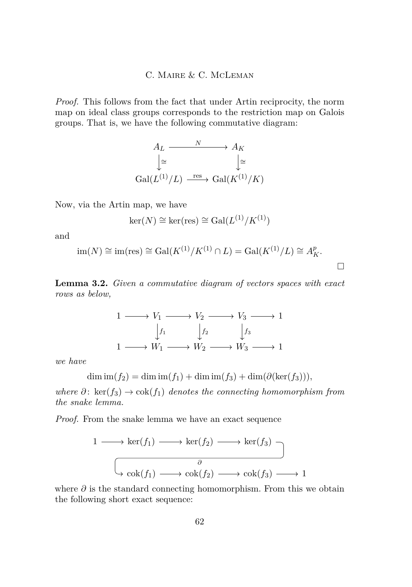<span id="page-6-0"></span>*Proof.* This follows from the fact that under Artin reciprocity, the norm map on ideal class groups corresponds to the restriction map on Galois groups. That is, we have the following commutative diagram:



Now, via the Artin map, we have

$$
\ker(N) \cong \ker(\text{res}) \cong \text{Gal}(L^{(1)}/K^{(1)})
$$

and

$$
\operatorname{im}(N) \cong \operatorname{im}(\operatorname{res}) \cong \operatorname{Gal}(K^{(1)}/K^{(1)} \cap L) = \operatorname{Gal}(K^{(1)}/L) \cong A_K^p.
$$

**Lemma 3.2.** *Given a commutative diagram of vectors spaces with exact rows as below,*



*we have*

 $\dim \text{im}(f_2) = \dim \text{im}(f_1) + \dim \text{im}(f_3) + \dim(\partial(\ker(f_3))),$ 

*where*  $\partial$ : ker( $f_3$ )  $\rightarrow$  cok( $f_1$ ) *denotes the connecting homomorphism from the snake lemma.*

*Proof.* From the snake lemma we have an exact sequence

$$
1 \longrightarrow \ker(f_1) \longrightarrow \ker(f_2) \longrightarrow \ker(f_3) \longrightarrow
$$
  

$$
\downarrow \phi
$$
  

$$
\downarrow \text{cok}(f_1) \longrightarrow \text{cok}(f_2) \longrightarrow \text{cok}(f_3) \longrightarrow 1
$$

where *∂* is the standard connecting homomorphism. From this we obtain the following short exact sequence: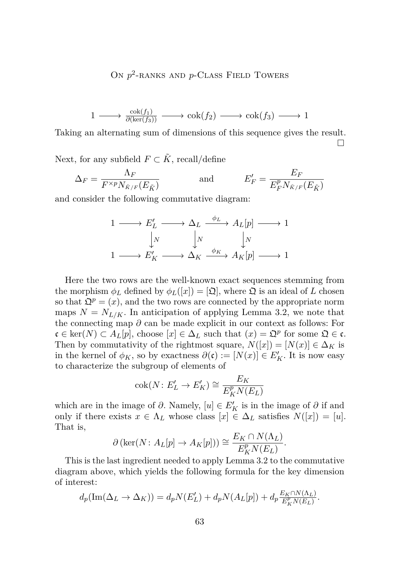# ON  $p^2$ -RANKS AND  $p$ -CLASS FIELD TOWERS

$$
1 \longrightarrow \frac{\cosh(f_1)}{\partial(\ker(f_3))} \longrightarrow \cosh(f_2) \longrightarrow \cosh(f_3) \longrightarrow 1
$$

Taking an alternating sum of dimensions of this sequence gives the result. П

Next, for any subfield  $F \subset \tilde{K}$ , recall/define

$$
\Delta_F = \frac{\Lambda_F}{F^{\times p} N_{\tilde{K}/F}(E_{\tilde{K}})} \quad \text{and} \quad E'_F = \frac{E_F}{E_F^p N_{\tilde{K}/F}(E_{\tilde{K}})}
$$

and consider the following commutative diagram:

$$
\begin{array}{ccc}\n1 & \longrightarrow & E'_L \longrightarrow \Delta_L \xrightarrow{\phi_L} A_L[p] \longrightarrow 1 \\
\downarrow_N & \downarrow_N & \downarrow_N \\
1 & \longrightarrow & E'_K \longrightarrow \Delta_K \xrightarrow{\phi_K} A_K[p] \longrightarrow 1\n\end{array}
$$

Here the two rows are the well-known exact sequences stemming from the morphism  $\phi_L$  defined by  $\phi_L([x]) = [\mathfrak{Q}]$ , where  $\mathfrak{Q}$  is an ideal of L chosen so that  $\mathfrak{Q}^p = (x)$ , and the two rows are connected by the appropriate norm maps  $N = N_{L/K}$ . In anticipation of applying Lemma [3.2,](#page-6-0) we note that the connecting map *∂* can be made explicit in our context as follows: For  $\mathfrak{c} \in \text{ker}(N) \subset A_L[p]$ , choose  $[x] \in \Delta_L$  such that  $(x) = \mathfrak{Q}^p$  for some  $\mathfrak{Q} \in \mathfrak{c}$ . Then by commutativity of the rightmost square,  $N([x]) = [N(x)] \in \Delta_K$  is in the kernel of  $\phi_K$ , so by exactness  $\partial(\mathfrak{c}) := [N(x)] \in E_K'$ . It is now easy to characterize the subgroup of elements of

$$
\operatorname{cok}(N: E'_L \to E'_K) \cong \frac{E_K}{E_K^p N(E_L)}
$$

which are in the image of  $\partial$ . Namely,  $[u] \in E_K'$  is in the image of  $\partial$  if and only if there exists  $x \in \Lambda_L$  whose class  $[x] \in \Delta_L$  satisfies  $N([x]) = [u]$ . That is,

$$
\partial (\ker(N: A_L[p] \to A_K[p])) \cong \frac{E_K \cap N(\Lambda_L)}{E_K^p N(E_L)}.
$$

This is the last ingredient needed to apply Lemma [3.2](#page-6-0) to the commutative diagram above, which yields the following formula for the key dimension of interest:

$$
d_p(\text{Im}(\Delta_L \to \Delta_K)) = d_p N(E'_L) + d_p N(A_L[p]) + d_p \frac{E_K \cap N(\Lambda_L)}{E_K^p N(E_L)}.
$$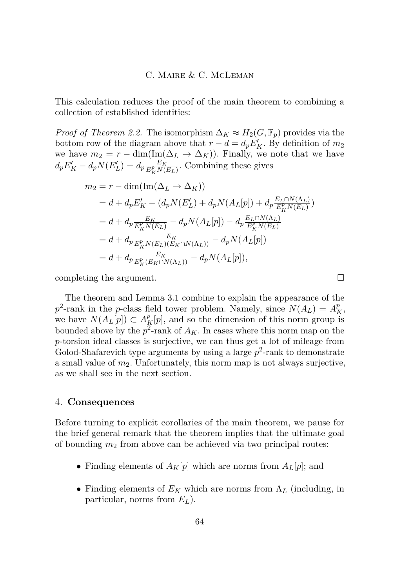This calculation reduces the proof of the main theorem to combining a collection of established identities:

*Proof of Theorem [2.2.](#page-4-0)* The isomorphism  $\Delta_K \approx H_2(G, \mathbb{F}_p)$  provides via the bottom row of the diagram above that  $r - d = d_p E_K'$ . By definition of  $m_2$ we have  $m_2 = r - \dim(\text{Im}(\Delta_L \to \Delta_K))$ . Finally, we note that we have  $d_p E'_K - d_p N(E'_L) = d_p \frac{E_K}{E_K^p N(L)}$  $\frac{E_K}{E_K^p N(E_L)}$ . Combining these gives

$$
m_2 = r - \dim(\text{Im}(\Delta_L \to \Delta_K))
$$
  
= d + d\_p E'\_K - (d\_p N(E'\_L) + d\_p N(A\_L[p]) + d\_p \frac{E\_L \cap N(\Lambda\_L)}{E\_K^p N(E\_L)})  
= d + d\_p \frac{E\_K}{E\_K^p N(E\_L)} - d\_p N(A\_L[p]) - d\_p \frac{E\_L \cap N(\Lambda\_L)}{E\_K^p N(E\_L)}  
= d + d\_p \frac{E\_K}{E\_K^p N(E\_L)(E\_K \cap N(\Lambda\_L))} - d\_p N(A\_L[p])  
= d + d\_p \frac{E\_K}{E\_K^p (E\_K \cap N(\Lambda\_L))} - d\_p N(A\_L[p]),

completing the argument.

The theorem and Lemma [3.1](#page-5-0) combine to explain the appearance of the  $p^2$ -rank in the *p*-class field tower problem. Namely, since  $N(A_L) = A_K^p$ , we have  $N(A_L[p]) \subset A_K^p[p]$ , and so the dimension of this norm group is bounded above by the  $p^2$ -rank of  $A_K$ . In cases where this norm map on the *p*-torsion ideal classes is surjective, we can thus get a lot of mileage from Golod-Shafarevich type arguments by using a large  $p^2$ -rank to demonstrate a small value of  $m_2$ . Unfortunately, this norm map is not always surjective, as we shall see in the next section.

#### 4. **Consequences**

Before turning to explicit corollaries of the main theorem, we pause for the brief general remark that the theorem implies that the ultimate goal of bounding *m*<sup>2</sup> from above can be achieved via two principal routes:

- Finding elements of  $A_K[p]$  which are norms from  $A_L[p]$ ; and
- Finding elements of *E<sup>K</sup>* which are norms from Λ*<sup>L</sup>* (including, in particular, norms from *EL*).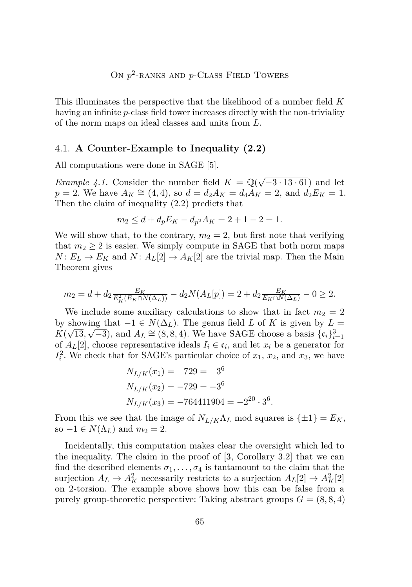<span id="page-9-0"></span>This illuminates the perspective that the likelihood of a number field *K* having an infinite *p*-class field tower increases directly with the non-triviality of the norm maps on ideal classes and units from *L*.

#### 4.1. **A Counter-Example to Inequality (2.2)**

All computations were done in SAGE [\[5\]](#page-12-0).

*Example 4.1.* Consider the number field  $K = \mathbb{Q}(\sqrt{2\pi})$  $\left(-3.13\cdot 61\right)$  and let *p* = 2. We have  $A_K \cong (4, 4)$ , so  $d = d_2 A_K = d_4 A_K = 2$ , and  $d_2 E_K = 1$ . Then the claim of inequality [\(2.2\)](#page-5-0) predicts that

$$
m_2 \le d + d_p E_K - d_{p^2} A_K = 2 + 1 - 2 = 1.
$$

We will show that, to the contrary,  $m_2 = 2$ , but first note that verifying that  $m_2 \geq 2$  is easier. We simply compute in SAGE that both norm maps  $N: E_L \to E_K$  and  $N: A_L[2] \to A_K[2]$  are the trivial map. Then the Main Theorem gives

$$
m_2 = d + d_2 \frac{E_K}{E_K^2(E_K \cap N(\Delta_L))} - d_2 N(A_L[p]) = 2 + d_2 \frac{E_K}{E_K \cap N(\Delta_L)} - 0 \ge 2.
$$

We include some auxiliary calculations to show that in fact  $m_2 = 2$ by showing that  $-1 \in N(\Delta_L)$ . The genus field *L* of *K* is given by  $L =$  $K(\sqrt{13}, \sqrt{-3})$ , and  $A_L \cong (8, 8, 4)$ . We have SAGE choose a basis  $\{\mathfrak{c}_i\}_{i=1}^3$ of  $A_L[2]$ , choose representative ideals  $I_i \in \mathfrak{c}_i$ , and let  $x_i$  be a generator for  $I_i^2$ . We check that for SAGE's particular choice of  $x_1, x_2$ , and  $x_3$ , we have

$$
N_{L/K}(x_1) = 729 = 3^6
$$
  
\n
$$
N_{L/K}(x_2) = -729 = -3^6
$$
  
\n
$$
N_{L/K}(x_3) = -764411904 = -2^{20} \cdot 3^6
$$

From this we see that the image of  $N_{L/K}\Lambda_L$  mod squares is  $\{\pm 1\} = E_K$ , so  $-1 \in N(\Lambda_L)$  and  $m_2 = 2$ .

*.*

Incidentally, this computation makes clear the oversight which led to the inequality. The claim in the proof of [\[3,](#page-12-0) Corollary 3.2] that we can find the described elements  $\sigma_1, \ldots, \sigma_4$  is tantamount to the claim that the surjection  $A_L \to A_K^2$  necessarily restricts to a surjection  $A_L[2] \to A_K^2[2]$ on 2-torsion. The example above shows how this can be false from a purely group-theoretic perspective: Taking abstract groups  $G = (8, 8, 4)$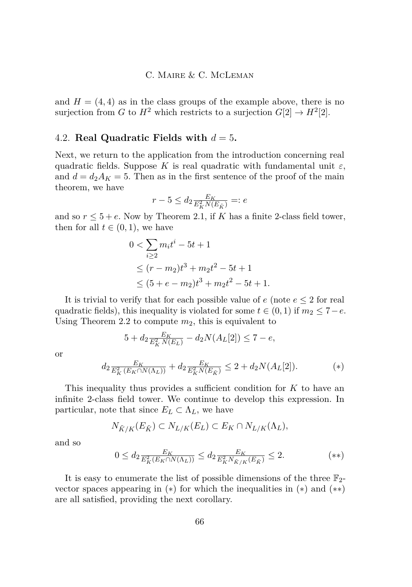and  $H = (4, 4)$  as in the class groups of the example above, there is no surjection from *G* to  $H^2$  which restricts to a surjection  $G[2] \rightarrow H^2[2]$ .

#### 4.2. **Real Quadratic Fields with**  $d = 5$ .

Next, we return to the application from the introduction concerning real quadratic fields. Suppose *K* is real quadratic with fundamental unit  $\varepsilon$ , and  $d = d_2 A_K = 5$ . Then as in the first sentence of the proof of the main theorem, we have

$$
r-5\leq d_2\tfrac{E_K}{E_K^2N(E_{\tilde K})}=:e
$$

and so  $r \leq 5 + e$ . Now by Theorem [2.1,](#page-4-0) if *K* has a finite 2-class field tower, then for all  $t \in (0,1)$ , we have

$$
0 < \sum_{i \ge 2} m_i t^i - 5t + 1
$$
  
\n
$$
\le (r - m_2)t^3 + m_2t^2 - 5t + 1
$$
  
\n
$$
\le (5 + e - m_2)t^3 + m_2t^2 - 5t + 1.
$$

It is trivial to verify that for each possible value of *e* (note *e* ≤ 2 for real quadratic fields), this inequality is violated for some  $t \in (0,1)$  if  $m_2 \leq 7 - e$ . Using Theorem [2.2](#page-4-0) to compute *m*2, this is equivalent to

$$
5 + d_2 \frac{E_K}{E_K^2 N(E_L)} - d_2 N(A_L[2]) \le 7 - e,
$$
  

$$
d_2 \frac{E_K}{E_K^2 (E_K \cap N(\Lambda_L))} + d_2 \frac{E_K}{E_K^2 N(E_{\tilde{K}})} \le 2 + d_2 N(A_L[2]).
$$
 (\*)

This inequality thus provides a sufficient condition for *K* to have an infinite 2-class field tower. We continue to develop this expression. In particular, note that since  $E_L \subset \Lambda_L$ , we have

$$
N_{\tilde{K}/K}(E_{\tilde{K}}) \subset N_{L/K}(E_L) \subset E_K \cap N_{L/K}(\Lambda_L),
$$

and so

or

$$
0 \le d_2 \frac{E_K}{E_K^2(E_K \cap N(\Lambda_L))} \le d_2 \frac{E_K}{E_K^2 N_{\tilde{K}/K}(E_{\tilde{K}})} \le 2.
$$
 (\*\*)

It is easy to enumerate the list of possible dimensions of the three  $\mathbb{F}_2$ vector spaces appearing in  $(*)$  for which the inequalities in  $(*)$  and  $(**)$ are all satisfied, providing the next corollary.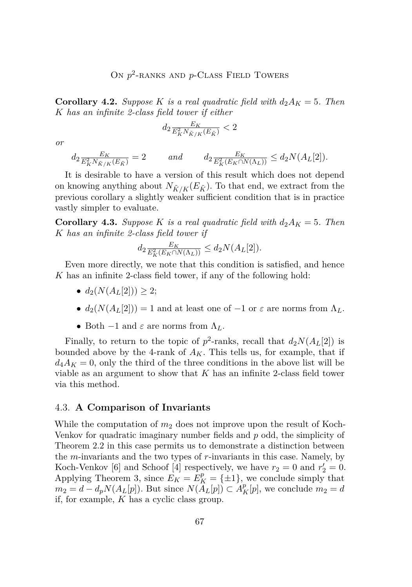# ON  $p^2$ -RANKS AND  $p$ -CLASS FIELD TOWERS

<span id="page-11-0"></span>**Corollary 4.2.** *Suppose K is a real quadratic field with*  $d_2A_K = 5$ *. Then K has an infinite 2-class field tower if either*

$$
d_2 \tfrac{E_K}{E_K^2 N_{\tilde K/K}(E_{\tilde K})} < 2
$$

*or*

$$
d_2 \frac{E_K}{E_K^2 N_{\tilde{K}/K}(E_{\tilde{K}})} = 2 \quad and \quad d_2 \frac{E_K}{E_K^2 (E_K \cap N(\Lambda_L))} \le d_2 N(A_L[2]).
$$

It is desirable to have a version of this result which does not depend on knowing anything about  $N_{\tilde{K}/K}(E_{\tilde{K}})$ . To that end, we extract from the previous corollary a slightly weaker sufficient condition that is in practice vastly simpler to evaluate.

**Corollary 4.3.** *Suppose K is a real quadratic field with*  $d_2A_K = 5$ *. Then K has an infinite 2-class field tower if*

$$
d_2 \frac{E_K}{E_K^2(E_K \cap N(\Lambda_L))} \le d_2 N(A_L[2]).
$$

Even more directly, we note that this condition is satisfied, and hence *K* has an infinite 2-class field tower, if any of the following hold:

- $d_2(N(A_L[2])) > 2;$
- $d_2(N(A_L[2])) = 1$  and at least one of  $-1$  or  $\varepsilon$  are norms from  $\Lambda_L$ .
- Both  $-1$  and  $\varepsilon$  are norms from  $\Lambda_L$ .

Finally, to return to the topic of  $p^2$ -ranks, recall that  $d_2N(A_L[2])$  is bounded above by the 4-rank of  $A_K$ . This tells us, for example, that if  $d_4A_K = 0$ , only the third of the three conditions in the above list will be viable as an argument to show that *K* has an infinite 2-class field tower via this method.

#### 4.3. **A Comparison of Invariants**

While the computation of  $m_2$  does not improve upon the result of Koch-Venkov for quadratic imaginary number fields and *p* odd, the simplicity of Theorem [2.2](#page-4-0) in this case permits us to demonstrate a distinction between the *m*-invariants and the two types of *r*-invariants in this case. Namely, by Koch-Venkov [\[6\]](#page-12-0) and Schoof [\[4\]](#page-12-0) respectively, we have  $r_2 = 0$  and  $r'_2 = 0$ . Applying Theorem 3, since  $E_K = E_K^p = {\pm 1}$ , we conclude simply that  $m_2 = d - d_p N(A_L[p])$ . But since  $N(A_L[p]) \subset A_K^p[p]$ , we conclude  $m_2 = d$ if, for example, *K* has a cyclic class group.